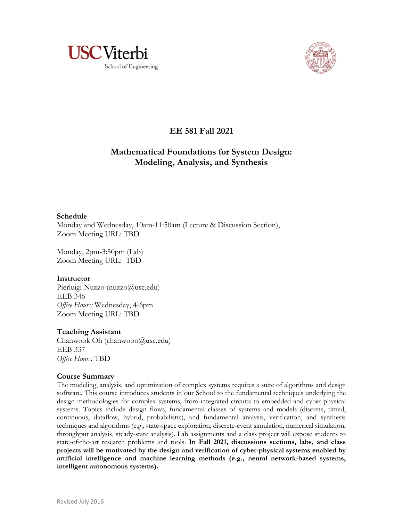



# **EE 581 Fall 2021**

## **Mathematical Foundations for System Design: Modeling, Analysis, and Synthesis**

## **Schedule**

Monday and Wednesday, 10am-11:50am (Lecture & Discussion Section), Zoom Meeting URL: TBD

Monday, 2pm-3:50pm (Lab) Zoom Meeting URL: TBD

## **Instructor**

Pierluigi Nuzzo (nuzzo@usc.edu) EEB 346 *Office Hours:* Wednesday, 4-6pm Zoom Meeting URL: TBD

## **Teaching Assistant**

Chanwook Oh (chanwooo@usc.edu) EEB 337 *Office Hours:* TBD

## **Course Summary**

The modeling, analysis, and optimization of complex systems requires a suite of algorithms and design software. This course introduces students in our School to the fundamental techniques underlying the design methodologies for complex systems, from integrated circuits to embedded and cyber-physical systems. Topics include design flows, fundamental classes of systems and models (discrete, timed, continuous, dataflow, hybrid, probabilistic), and fundamental analysis, verification, and synthesis techniques and algorithms (e.g., state-space exploration, discrete-event simulation, numerical simulation, throughput analysis, steady-state analysis). Lab assignments and a class project will expose students to state-of-the-art research problems and tools. **In Fall 2021, discussions sections, labs, and class projects will be motivated by the design and verification of cyber-physical systems enabled by artificial intelligence and machine learning methods (e.g., neural network-based systems, intelligent autonomous systems).**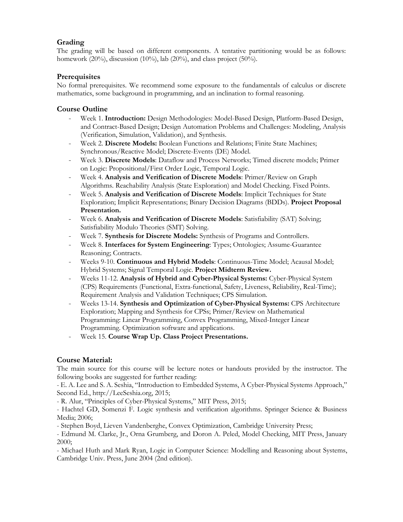## **Grading**

The grading will be based on different components. A tentative partitioning would be as follows: homework  $(20\%)$ , discussion  $(10\%)$ , lab  $(20\%)$ , and class project  $(50\%)$ .

## **Prerequisites**

No formal prerequisites. We recommend some exposure to the fundamentals of calculus or discrete mathematics, some background in programming, and an inclination to formal reasoning.

## **Course Outline**

- Week 1. **Introduction:** Design Methodologies: Model-Based Design, Platform-Based Design, and Contract-Based Design; Design Automation Problems and Challenges: Modeling, Analysis (Verification, Simulation, Validation), and Synthesis.
- Week 2. **Discrete Models:** Boolean Functions and Relations; Finite State Machines; Synchronous/Reactive Model; Discrete-Events (DE) Model.
- Week 3. **Discrete Models**: Dataflow and Process Networks; Timed discrete models; Primer on Logic: Propositional/First Order Logic, Temporal Logic.
- Week 4. **Analysis and Verification of Discrete Models**: Primer/Review on Graph Algorithms. Reachability Analysis (State Exploration) and Model Checking. Fixed Points.
- Week 5. **Analysis and Verification of Discrete Models**: Implicit Techniques for State Exploration; Implicit Representations; Binary Decision Diagrams (BDDs). **Project Proposal Presentation.**
- Week 6. **Analysis and Verification of Discrete Models**: Satisfiability (SAT) Solving; Satisfiability Modulo Theories (SMT) Solving.
- Week 7. **Synthesis for Discrete Models:** Synthesis of Programs and Controllers.
- Week 8. **Interfaces for System Engineering**: Types; Ontologies; Assume-Guarantee Reasoning; Contracts.
- Weeks 9-10. **Continuous and Hybrid Models**: Continuous-Time Model; Acausal Model; Hybrid Systems; Signal Temporal Logic. **Project Midterm Review.**
- Weeks 11-12. **Analysis of Hybrid and Cyber-Physical Systems:** Cyber-Physical System (CPS) Requirements (Functional, Extra-functional, Safety, Liveness, Reliability, Real-Time); Requirement Analysis and Validation Techniques; CPS Simulation.
- Weeks 13-14. **Synthesis and Optimization of Cyber-Physical Systems:** CPS Architecture Exploration; Mapping and Synthesis for CPSs; Primer/Review on Mathematical Programming: Linear Programming, Convex Programming, Mixed-Integer Linear Programming. Optimization software and applications.
- Week 15. **Course Wrap Up. Class Project Presentations.**

## **Course Material:**

The main source for this course will be lecture notes or handouts provided by the instructor. The following books are suggested for further reading:

- E. A. Lee and S. A. Seshia, "Introduction to Embedded Systems, A Cyber-Physical Systems Approach," Second Ed., http://LeeSeshia.org, 2015;

- R. Alur, "Principles of Cyber-Physical Systems," MIT Press, 2015;

- Hachtel GD, Somenzi F. Logic synthesis and verification algorithms. Springer Science & Business Media; 2006;

- Stephen Boyd, Lieven Vandenberghe, Convex Optimization, Cambridge University Press;

- Edmund M. Clarke, Jr., Orna Grumberg, and Doron A. Peled, Model Checking, MIT Press, January 2000;

- Michael Huth and Mark Ryan, Logic in Computer Science: Modelling and Reasoning about Systems, Cambridge Univ. Press, June 2004 (2nd edition).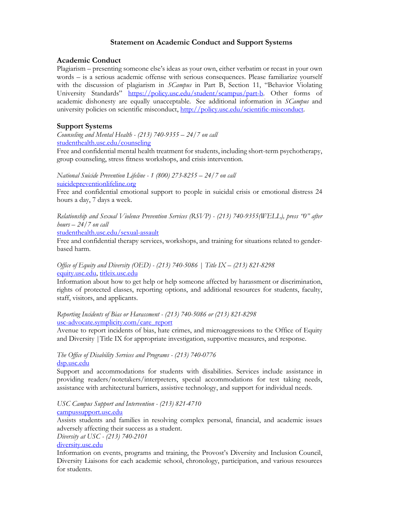## **Statement on Academic Conduct and Support Systems**

## **Academic Conduct**

Plagiarism – presenting someone else's ideas as your own, either verbatim or recast in your own words – is a serious academic offense with serious consequences. Please familiarize yourself with the discussion of plagiarism in *SCampus* in Part B, Section 11, "Behavior Violating University Standards" https://policy.usc.edu/student/scampus/part-b. Other forms of academic dishonesty are equally unacceptable. See additional information in *SCampus* and university policies on scientific misconduct, http://policy.usc.edu/scientific-misconduct.

## **Support Systems**

*Counseling and Mental Health - (213) 740-9355 – 24/7 on call* studenthealth.usc.edu/counseling

Free and confidential mental health treatment for students, including short-term psychotherapy, group counseling, stress fitness workshops, and crisis intervention.

*National Suicide Prevention Lifeline - 1 (800) 273-8255 – 24/7 on call* suicidepreventionlifeline.org

Free and confidential emotional support to people in suicidal crisis or emotional distress 24 hours a day, 7 days a week.

*Relationship and Sexual Violence Prevention Services (RSVP) - (213) 740-9355(WELL), press "0" after hours – 24/7 on call*

studenthealth.usc.edu/sexual-assault

Free and confidential therapy services, workshops, and training for situations related to genderbased harm.

## *Office of Equity and Diversity (OED) - (213) 740-5086 | Title IX – (213) 821-8298* equity.usc.edu, titleix.usc.edu

Information about how to get help or help someone affected by harassment or discrimination, rights of protected classes, reporting options, and additional resources for students, faculty, staff, visitors, and applicants.

#### *Reporting Incidents of Bias or Harassment - (213) 740-5086 or (213) 821-8298* usc-advocate.symplicity.com/care\_report

Avenue to report incidents of bias, hate crimes, and microaggressions to the Office of Equity and Diversity |Title IX for appropriate investigation, supportive measures, and response.

#### *The Office of Disability Services and Programs - (213) 740-0776* dsp.usc.edu

Support and accommodations for students with disabilities. Services include assistance in providing readers/notetakers/interpreters, special accommodations for test taking needs, assistance with architectural barriers, assistive technology, and support for individual needs.

*USC Campus Support and Intervention - (213) 821-4710*

campussupport.usc.edu

Assists students and families in resolving complex personal, financial, and academic issues adversely affecting their success as a student.

*Diversity at USC - (213) 740-2101*

## diversity.usc.edu

Information on events, programs and training, the Provost's Diversity and Inclusion Council, Diversity Liaisons for each academic school, chronology, participation, and various resources for students.